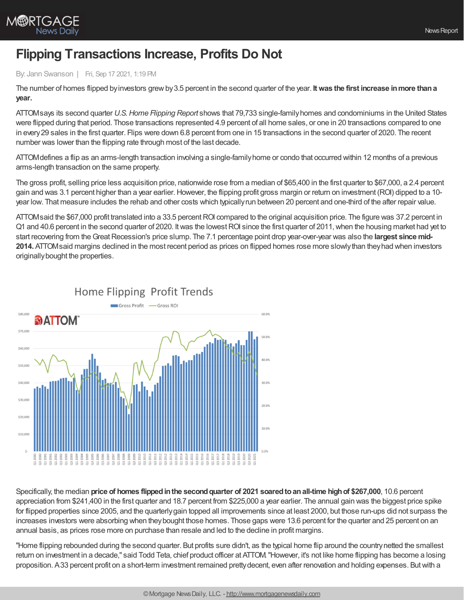

## **Flipping Transactions Increase, Profits Do Not**

## By: Jann Swanson | Fri, Sep 17 2021, 1:19 PM

The number of homes flipped byinvestors grewby3.5 percent in the second quarter of the year. **Itwas the first increase inmore thana year.**

ATTOMsays its second quarter *U.S.Home Flipping Report* shows that 79,733 single-familyhomes and condominiums in the United States were flipped during that period. Those transactions represented 4.9 percent of all home sales, or one in 20 transactions compared to one in every29 sales in the first quarter. Flips were down 6.8 percent from one in 15 transactions in the second quarter of 2020. The recent number was lower than the flipping rate through most of the last decade.

ATTOMdefines a flip as an arms-length transaction involving a single-familyhome or condo that occurred within 12 months of a previous arms-length transaction on the same property.

The gross profit, selling price less acquisition price, nationwide rose from a median of \$65,400 in the first quarter to \$67,000, a 2.4 percent gain and was 3.1 percent higher than a year earlier. However, the flipping profit gross margin or return on investment (ROI) dipped to a 10year low. That measure includes the rehab and other costs which typicallyrun between 20 percent and one-third of the after repair value.

ATTOMsaid the \$67,000 profit translated into a 33.5 percent ROI compared to the original acquisition price. The figure was 37.2 percent in Q1 and 40.6 percent in the second quarter of 2020. Itwas the lowestROI since the first quarter of 2011,when the housing market had yet to start recovering from the Great Recession's price slump. The 7.1 percentage point drop year-over-year was also the largest since mid-**2014.** ATTOMsaid margins declined in the most recent period as prices on flipped homes rose more slowlythan theyhad when investors originallybought the properties.





Specifically, the median **price of homes flippedinthe secondquarter of 2021 soaredtoanall-time highof \$267,000**, 10.6 percent appreciation from \$241,400 in the first quarter and 18.7 percent from \$225,000 a year earlier. The annual gain was the biggest price spike for flipped properties since 2005, and the quarterlygain topped all improvements since at least 2000, but those run-ups did not surpass the increases investors were absorbing when theybought those homes. Those gaps were 13.6 percent for the quarter and 25 percent on an annual basis, as prices rose more on purchase than resale and led to the decline in profit margins.

"Home flipping rebounded during the second quarter. But profits sure didn't, as the typical home flip around the countrynetted the smallest return on investment in a decade," said Todd Teta, chief product officer at ATTOM."However, it's not like home flipping has become a losing proposition. A33 percent profit on a short-term investment remained prettydecent, even after renovation and holding expenses. Butwith a